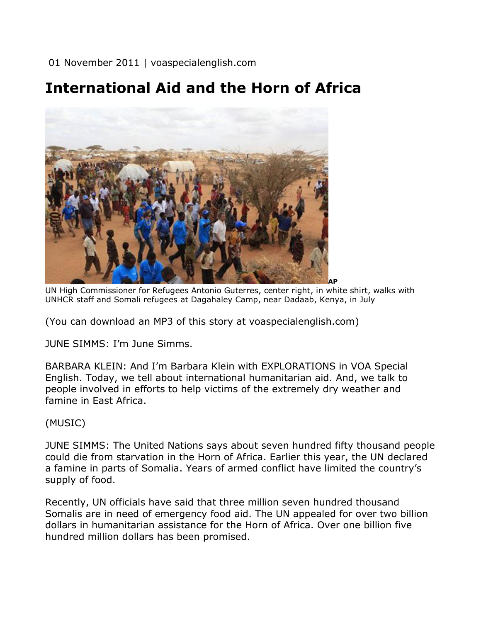01 November 2011 | voaspecialenglish.com

## **International Aid and the Horn of Africa**



UN High Commissioner for Refugees Antonio Guterres, center right, in white shirt, walks with UNHCR staff and Somali refugees at Dagahaley Camp, near Dadaab, Kenya, in July

(You can download an MP3 of this story at voaspecialenglish.com)

JUNE SIMMS: I'm June Simms.

BARBARA KLEIN: And I'm Barbara Klein with EXPLORATIONS in VOA Special English. Today, we tell about international humanitarian aid. And, we talk to people involved in efforts to help victims of the extremely dry weather and famine in East Africa.

## (MUSIC)

JUNE SIMMS: The United Nations says about seven hundred fifty thousand people could die from starvation in the Horn of Africa. Earlier this year, the UN declared a famine in parts of Somalia. Years of armed conflict have limited the country's supply of food.

Recently, UN officials have said that three million seven hundred thousand Somalis are in need of emergency food aid. The UN appealed for over two billion dollars in humanitarian assistance for the Horn of Africa. Over one billion five hundred million dollars has been promised.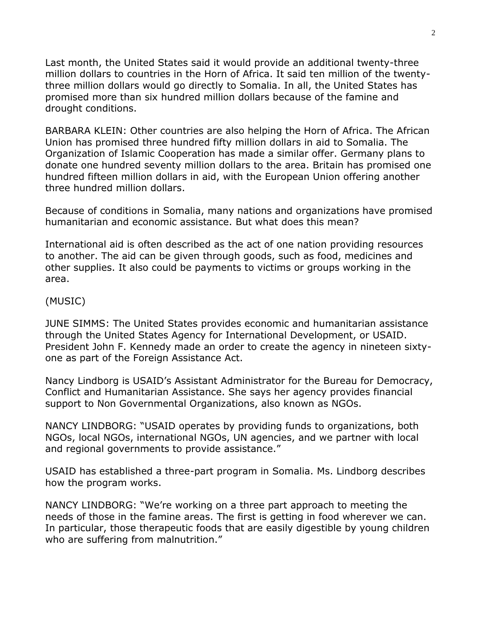Last month, the United States said it would provide an additional twenty-three million dollars to countries in the Horn of Africa. It said ten million of the twentythree million dollars would go directly to Somalia. In all, the United States has promised more than six hundred million dollars because of the famine and drought conditions.

BARBARA KLEIN: Other countries are also helping the Horn of Africa. The African Union has promised three hundred fifty million dollars in aid to Somalia. The Organization of Islamic Cooperation has made a similar offer. Germany plans to donate one hundred seventy million dollars to the area. Britain has promised one hundred fifteen million dollars in aid, with the European Union offering another three hundred million dollars.

Because of conditions in Somalia, many nations and organizations have promised humanitarian and economic assistance. But what does this mean?

International aid is often described as the act of one nation providing resources to another. The aid can be given through goods, such as food, medicines and other supplies. It also could be payments to victims or groups working in the area.

## (MUSIC)

JUNE SIMMS: The United States provides economic and humanitarian assistance through the United States Agency for International Development, or USAID. President John F. Kennedy made an order to create the agency in nineteen sixtyone as part of the Foreign Assistance Act.

Nancy Lindborg is USAID's Assistant Administrator for the Bureau for Democracy, Conflict and Humanitarian Assistance. She says her agency provides financial support to Non Governmental Organizations, also known as NGOs.

NANCY LINDBORG: "USAID operates by providing funds to organizations, both NGOs, local NGOs, international NGOs, UN agencies, and we partner with local and regional governments to provide assistance."

USAID has established a three-part program in Somalia. Ms. Lindborg describes how the program works.

NANCY LINDBORG: "We're working on a three part approach to meeting the needs of those in the famine areas. The first is getting in food wherever we can. In particular, those therapeutic foods that are easily digestible by young children who are suffering from malnutrition."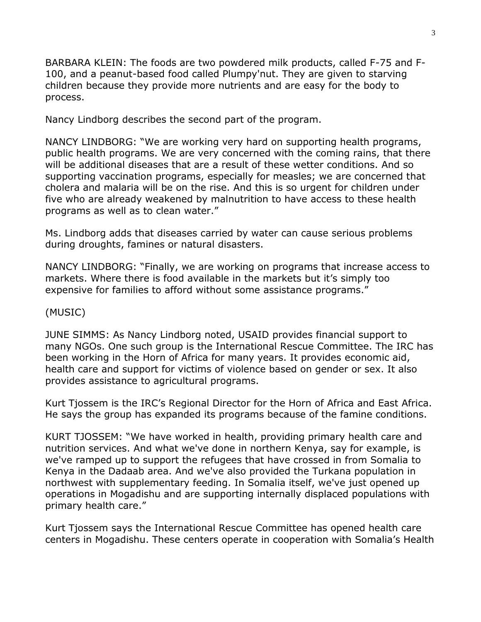BARBARA KLEIN: The foods are two powdered milk products, called F-75 and F-100, and a peanut-based food called Plumpy'nut. They are given to starving children because they provide more nutrients and are easy for the body to process.

Nancy Lindborg describes the second part of the program.

NANCY LINDBORG: "We are working very hard on supporting health programs, public health programs. We are very concerned with the coming rains, that there will be additional diseases that are a result of these wetter conditions. And so supporting vaccination programs, especially for measles; we are concerned that cholera and malaria will be on the rise. And this is so urgent for children under five who are already weakened by malnutrition to have access to these health programs as well as to clean water."

Ms. Lindborg adds that diseases carried by water can cause serious problems during droughts, famines or natural disasters.

NANCY LINDBORG: "Finally, we are working on programs that increase access to markets. Where there is food available in the markets but it's simply too expensive for families to afford without some assistance programs."

## (MUSIC)

JUNE SIMMS: As Nancy Lindborg noted, USAID provides financial support to many NGOs. One such group is the International Rescue Committee. The IRC has been working in the Horn of Africa for many years. It provides economic aid, health care and support for victims of violence based on gender or sex. It also provides assistance to agricultural programs.

Kurt Tjossem is the IRC's Regional Director for the Horn of Africa and East Africa. He says the group has expanded its programs because of the famine conditions.

KURT TJOSSEM: "We have worked in health, providing primary health care and nutrition services. And what we've done in northern Kenya, say for example, is we've ramped up to support the refugees that have crossed in from Somalia to Kenya in the Dadaab area. And we've also provided the Turkana population in northwest with supplementary feeding. In Somalia itself, we've just opened up operations in Mogadishu and are supporting internally displaced populations with primary health care."

Kurt Tjossem says the International Rescue Committee has opened health care centers in Mogadishu. These centers operate in cooperation with Somalia's Health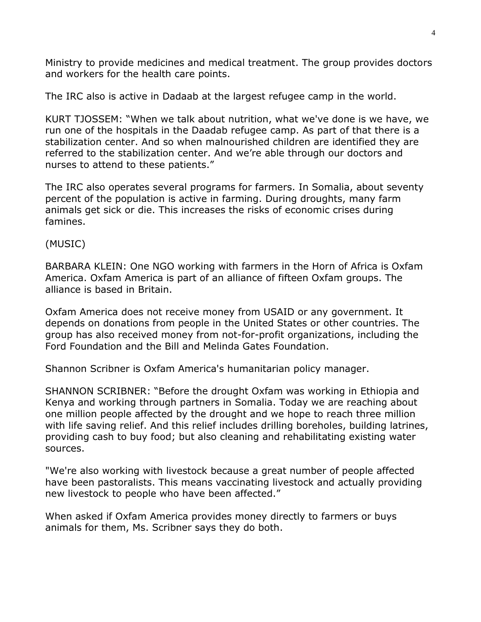Ministry to provide medicines and medical treatment. The group provides doctors and workers for the health care points.

The IRC also is active in Dadaab at the largest refugee camp in the world.

KURT TJOSSEM: "When we talk about nutrition, what we've done is we have, we run one of the hospitals in the Daadab refugee camp. As part of that there is a stabilization center. And so when malnourished children are identified they are referred to the stabilization center. And we're able through our doctors and nurses to attend to these patients."

The IRC also operates several programs for farmers. In Somalia, about seventy percent of the population is active in farming. During droughts, many farm animals get sick or die. This increases the risks of economic crises during famines.

(MUSIC)

BARBARA KLEIN: One NGO working with farmers in the Horn of Africa is Oxfam America. Oxfam America is part of an alliance of fifteen Oxfam groups. The alliance is based in Britain.

Oxfam America does not receive money from USAID or any government. It depends on donations from people in the United States or other countries. The group has also received money from not-for-profit organizations, including the Ford Foundation and the Bill and Melinda Gates Foundation.

Shannon Scribner is Oxfam America's humanitarian policy manager.

SHANNON SCRIBNER: "Before the drought Oxfam was working in Ethiopia and Kenya and working through partners in Somalia. Today we are reaching about one million people affected by the drought and we hope to reach three million with life saving relief. And this relief includes drilling boreholes, building latrines, providing cash to buy food; but also cleaning and rehabilitating existing water sources.

"We're also working with livestock because a great number of people affected have been pastoralists. This means vaccinating livestock and actually providing new livestock to people who have been affected."

When asked if Oxfam America provides money directly to farmers or buys animals for them, Ms. Scribner says they do both.